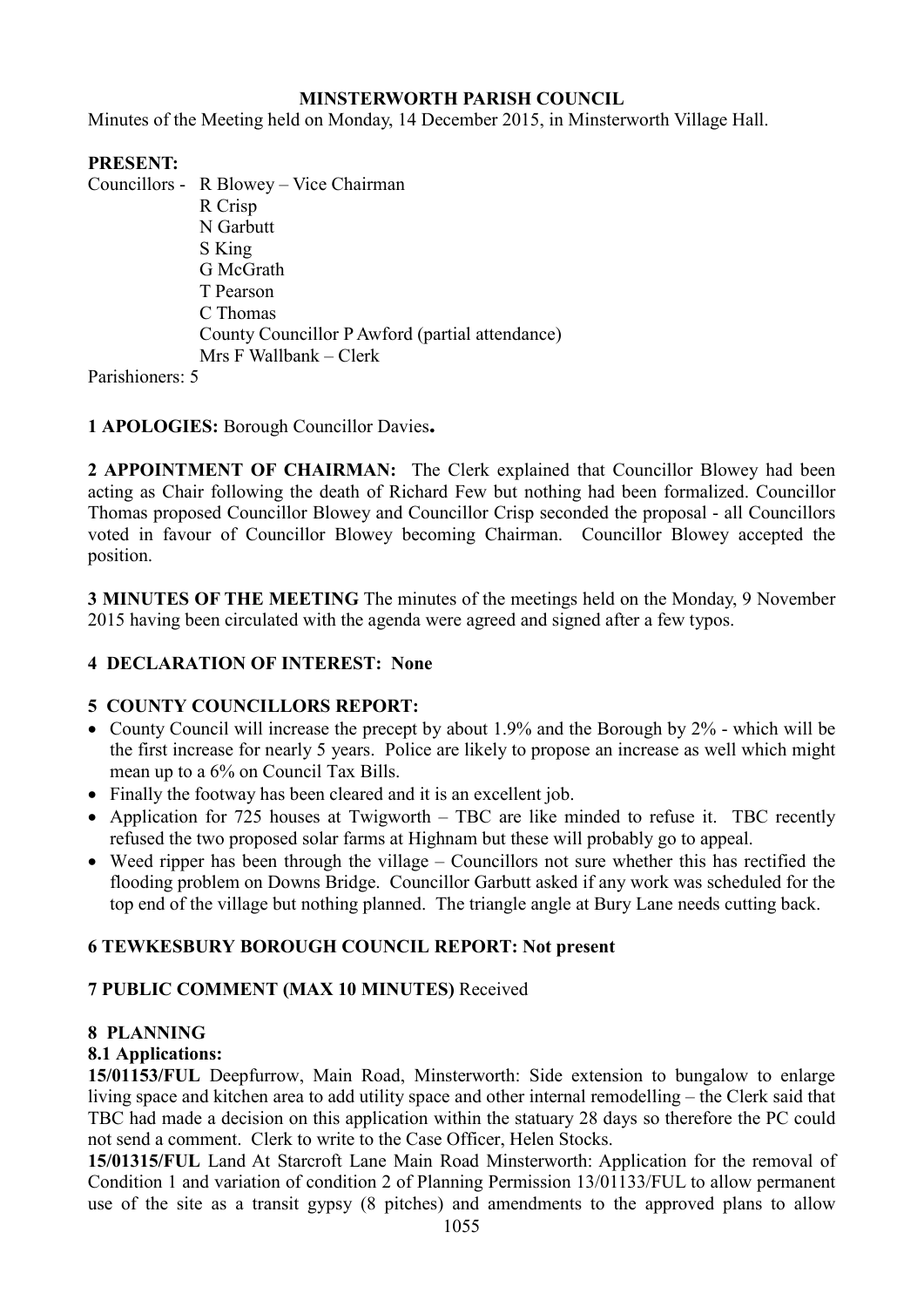#### **MINSTERWORTH PARISH COUNCIL**

Minutes of the Meeting held on Monday, 14 December 2015, in Minsterworth Village Hall.

### **PRESENT:**

Councillors - R Blowey – Vice Chairman

 R Crisp N Garbutt S King G McGrath T Pearson C Thomas County Councillor P Awford (partial attendance) Mrs F Wallbank – Clerk

Parishioners: 5

**1 APOLOGIES:** Borough Councillor Davies**.** 

**2 APPOINTMENT OF CHAIRMAN:** The Clerk explained that Councillor Blowey had been acting as Chair following the death of Richard Few but nothing had been formalized. Councillor Thomas proposed Councillor Blowey and Councillor Crisp seconded the proposal - all Councillors voted in favour of Councillor Blowey becoming Chairman. Councillor Blowey accepted the position.

**3 MINUTES OF THE MEETING** The minutes of the meetings held on the Monday, 9 November 2015 having been circulated with the agenda were agreed and signed after a few typos.

#### **4 DECLARATION OF INTEREST: None**

#### **5 COUNTY COUNCILLORS REPORT:**

- County Council will increase the precept by about 1.9% and the Borough by 2% which will be the first increase for nearly 5 years. Police are likely to propose an increase as well which might mean up to a 6% on Council Tax Bills.
- Finally the footway has been cleared and it is an excellent job.
- Application for 725 houses at Twigworth TBC are like minded to refuse it. TBC recently refused the two proposed solar farms at Highnam but these will probably go to appeal.
- Weed ripper has been through the village Councillors not sure whether this has rectified the flooding problem on Downs Bridge. Councillor Garbutt asked if any work was scheduled for the top end of the village but nothing planned. The triangle angle at Bury Lane needs cutting back.

#### **6 TEWKESBURY BOROUGH COUNCIL REPORT: Not present**

#### **7 PUBLIC COMMENT (MAX 10 MINUTES)** Received

#### **8 PLANNING**

#### **8.1 Applications:**

**15/01153/FUL** Deepfurrow, Main Road, Minsterworth: Side extension to bungalow to enlarge living space and kitchen area to add utility space and other internal remodelling – the Clerk said that TBC had made a decision on this application within the statuary 28 days so therefore the PC could not send a comment. Clerk to write to the Case Officer, Helen Stocks.

**15/01315/FUL** Land At Starcroft Lane Main Road Minsterworth: Application for the removal of Condition 1 and variation of condition 2 of Planning Permission 13/01133/FUL to allow permanent use of the site as a transit gypsy (8 pitches) and amendments to the approved plans to allow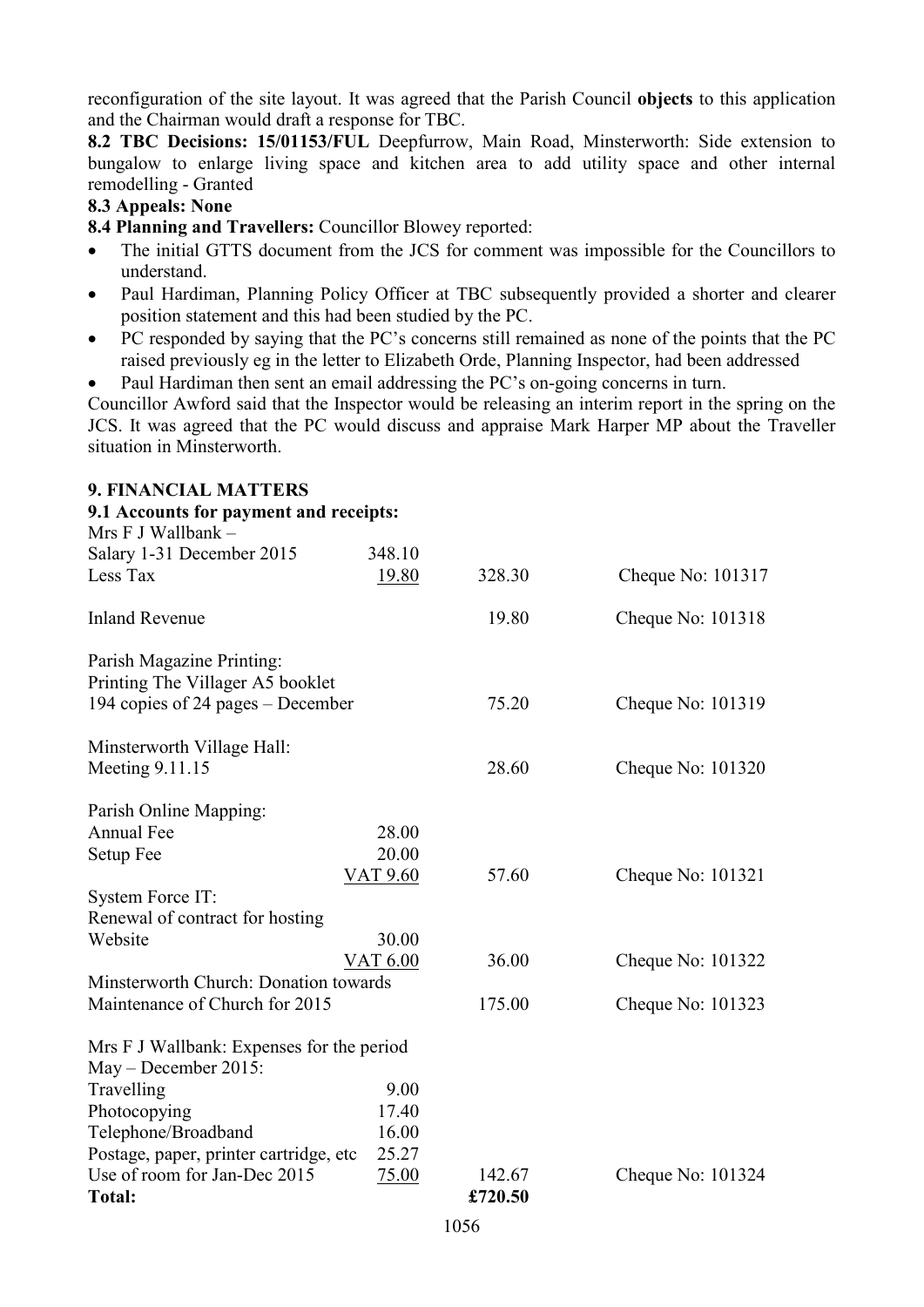reconfiguration of the site layout. It was agreed that the Parish Council **objects** to this application and the Chairman would draft a response for TBC.

**8.2 TBC Decisions: 15/01153/FUL** Deepfurrow, Main Road, Minsterworth: Side extension to bungalow to enlarge living space and kitchen area to add utility space and other internal remodelling - Granted

#### **8.3 Appeals: None**

**8.4 Planning and Travellers:** Councillor Blowey reported:

- The initial GTTS document from the JCS for comment was impossible for the Councillors to understand.
- Paul Hardiman, Planning Policy Officer at TBC subsequently provided a shorter and clearer position statement and this had been studied by the PC.
- PC responded by saying that the PC's concerns still remained as none of the points that the PC raised previously eg in the letter to Elizabeth Orde, Planning Inspector, had been addressed
- Paul Hardiman then sent an email addressing the PC's on-going concerns in turn.

Councillor Awford said that the Inspector would be releasing an interim report in the spring on the JCS. It was agreed that the PC would discuss and appraise Mark Harper MP about the Traveller situation in Minsterworth.

| 9. FINANCIAL MATTERS                      |          |                  |                   |
|-------------------------------------------|----------|------------------|-------------------|
| 9.1 Accounts for payment and receipts:    |          |                  |                   |
| Mrs $F$ J Wallbank $-$                    |          |                  |                   |
| Salary 1-31 December 2015                 | 348.10   |                  |                   |
| Less Tax                                  | 19.80    | 328.30           | Cheque No: 101317 |
| <b>Inland Revenue</b>                     |          | 19.80            | Cheque No: 101318 |
| Parish Magazine Printing:                 |          |                  |                   |
| Printing The Villager A5 booklet          |          |                  |                   |
| 194 copies of 24 pages – December         |          | 75.20            | Cheque No: 101319 |
| Minsterworth Village Hall:                |          |                  |                   |
| Meeting 9.11.15                           |          | 28.60            | Cheque No: 101320 |
| Parish Online Mapping:                    |          |                  |                   |
| Annual Fee                                | 28.00    |                  |                   |
| Setup Fee                                 | 20.00    |                  |                   |
|                                           | VAT 9.60 | 57.60            | Cheque No: 101321 |
| System Force IT:                          |          |                  |                   |
| Renewal of contract for hosting           |          |                  |                   |
| Website                                   | 30.00    |                  |                   |
|                                           | VAT 6.00 | 36.00            | Cheque No: 101322 |
| Minsterworth Church: Donation towards     |          |                  |                   |
| Maintenance of Church for 2015            |          | 175.00           | Cheque No: 101323 |
| Mrs F J Wallbank: Expenses for the period |          |                  |                   |
| May - December 2015:                      |          |                  |                   |
| Travelling                                | 9.00     |                  |                   |
| Photocopying                              | 17.40    |                  |                   |
| Telephone/Broadband                       | 16.00    |                  |                   |
| Postage, paper, printer cartridge, etc    | 25.27    |                  |                   |
| Use of room for Jan-Dec 2015              | 75.00    | 142.67           | Cheque No: 101324 |
| <b>Total:</b>                             |          | £720.50          |                   |
|                                           |          | 105 <sub>6</sub> |                   |

# **9. FINANCIAL MATTERS**